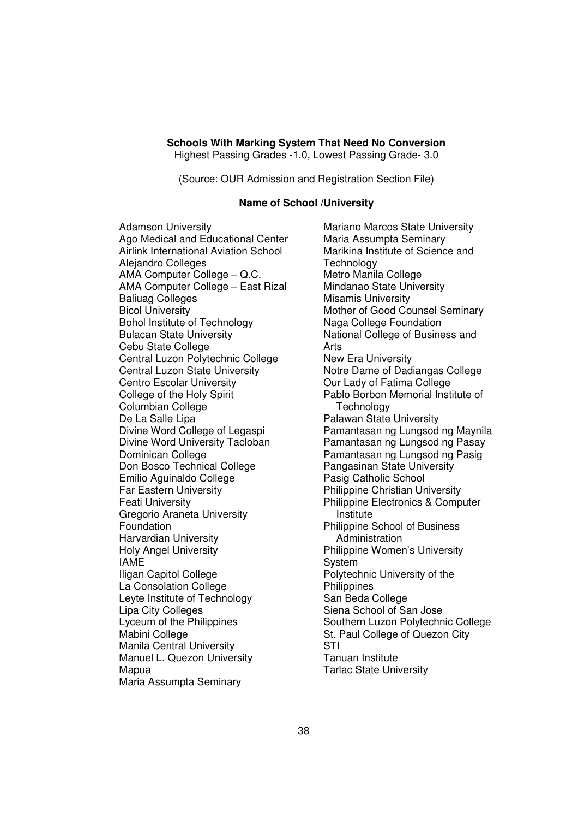### **Schools With Marking System That Need No Conversion**

Highest Passing Grades -1.0, Lowest Passing Grade- 3.0

(Source: OUR Admission and Registration Section File)

#### **Name of School /University**

Adamson University Ago Medical and Educational Center Airlink International Aviation School Alejandro Colleges AMA Computer College – Q.C. AMA Computer College – East Rizal Baliuag Colleges Bicol University Bohol Institute of Technology Bulacan State University Cebu State College Central Luzon Polytechnic College Central Luzon State University Centro Escolar University College of the Holy Spirit Columbian College De La Salle Lipa Divine Word College of Legaspi Divine Word University Tacloban Dominican College Don Bosco Technical College Emilio Aguinaldo College Far Eastern University Feati University Gregorio Araneta University Foundation Harvardian University Holy Angel University IAME Iligan Capitol College La Consolation College Leyte Institute of Technology Lipa City Colleges Lyceum of the Philippines Mabini College Manila Central University Manuel L. Quezon University Mapua Maria Assumpta Seminary

Mariano Marcos State University Maria Assumpta Seminary Marikina Institute of Science and **Technology** Metro Manila College Mindanao State University Misamis University Mother of Good Counsel Seminary Naga College Foundation National College of Business and Arts New Era University Notre Dame of Dadiangas College Our Lady of Fatima College Pablo Borbon Memorial Institute of **Technology** Palawan State University Pamantasan ng Lungsod ng Maynila Pamantasan ng Lungsod ng Pasay Pamantasan ng Lungsod ng Pasig Pangasinan State University Pasig Catholic School Philippine Christian University Philippine Electronics & Computer Institute Philippine School of Business **Administration** Philippine Women's University System Polytechnic University of the **Philippines** San Beda College Siena School of San Jose Southern Luzon Polytechnic College St. Paul College of Quezon City STI Tanuan Institute Tarlac State University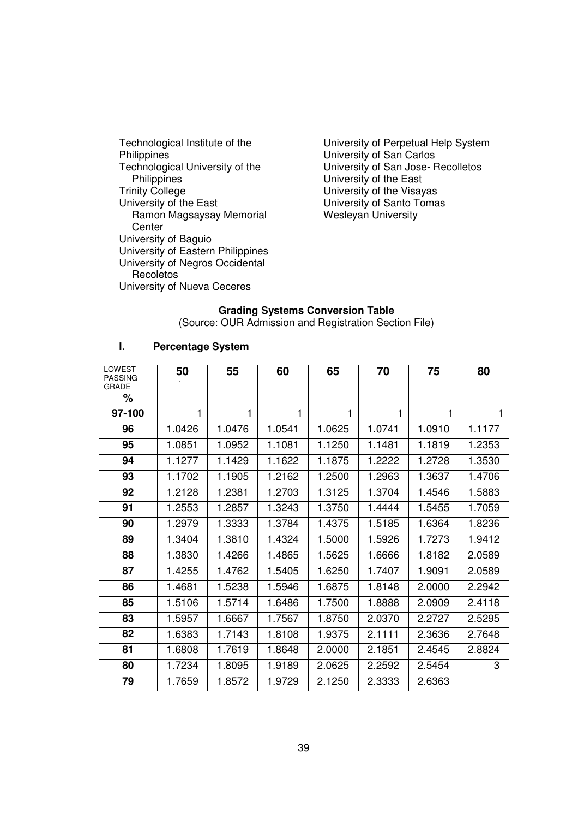Technological Institute of the **Philippines** Technological University of the **Philippines** Trinity College University of the East Ramon Magsaysay Memorial **Center** University of Baguio University of Eastern Philippines University of Negros Occidental Recoletos University of Nueva Ceceres

University of Perpetual Help System University of San Carlos University of San Jose- Recolletos University of the East University of the Visayas University of Santo Tomas Wesleyan University

# **Grading Systems Conversion Table**

(Source: OUR Admission and Registration Section File)

| LOWEST<br><b>PASSING</b> | 50     | 55     | 60     | 65     | 70     | 75     | 80     |
|--------------------------|--------|--------|--------|--------|--------|--------|--------|
| <b>GRADE</b><br>℅        |        |        |        |        |        |        |        |
| 97-100                   | 1      | 1      | 1      | 1      | 1      | 1      | 1      |
| 96                       | 1.0426 | 1.0476 | 1.0541 | 1.0625 | 1.0741 | 1.0910 | 1.1177 |
| 95                       | 1.0851 | 1.0952 | 1.1081 | 1.1250 | 1.1481 | 1.1819 | 1.2353 |
| 94                       | 1.1277 | 1.1429 | 1.1622 | 1.1875 | 1.2222 | 1.2728 | 1.3530 |
| 93                       | 1.1702 | 1.1905 | 1.2162 | 1.2500 | 1.2963 | 1.3637 | 1.4706 |
| 92                       | 1.2128 | 1.2381 | 1.2703 | 1.3125 | 1.3704 | 1.4546 | 1.5883 |
| 91                       | 1.2553 | 1.2857 | 1.3243 | 1.3750 | 1.4444 | 1.5455 | 1.7059 |
| 90                       | 1.2979 | 1.3333 | 1.3784 | 1.4375 | 1.5185 | 1.6364 | 1.8236 |
| 89                       | 1.3404 | 1.3810 | 1.4324 | 1.5000 | 1.5926 | 1.7273 | 1.9412 |
| 88                       | 1.3830 | 1.4266 | 1.4865 | 1.5625 | 1.6666 | 1.8182 | 2.0589 |
| 87                       | 1.4255 | 1.4762 | 1.5405 | 1.6250 | 1.7407 | 1.9091 | 2.0589 |
| 86                       | 1.4681 | 1.5238 | 1.5946 | 1.6875 | 1.8148 | 2.0000 | 2.2942 |
| 85                       | 1.5106 | 1.5714 | 1.6486 | 1.7500 | 1.8888 | 2.0909 | 2.4118 |
| 83                       | 1.5957 | 1.6667 | 1.7567 | 1.8750 | 2.0370 | 2.2727 | 2.5295 |
| 82                       | 1.6383 | 1.7143 | 1.8108 | 1.9375 | 2.1111 | 2.3636 | 2.7648 |
| 81                       | 1.6808 | 1.7619 | 1.8648 | 2.0000 | 2.1851 | 2.4545 | 2.8824 |
| 80                       | 1.7234 | 1.8095 | 1.9189 | 2.0625 | 2.2592 | 2.5454 | 3      |
| 79                       | 1.7659 | 1.8572 | 1.9729 | 2.1250 | 2.3333 | 2.6363 |        |

#### **I. Percentage System**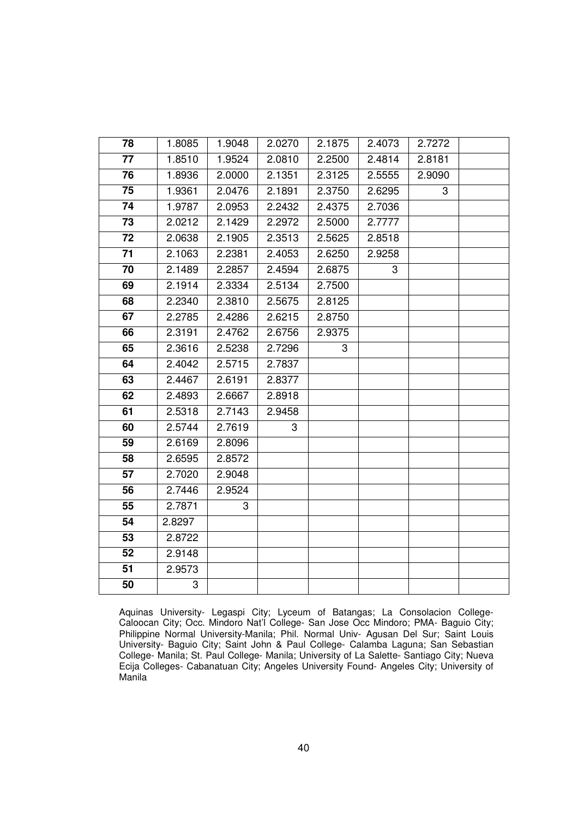| 78 | 1.8085 | 1.9048 | 2.0270 | 2.1875 | 2.4073 | 2.7272 |  |
|----|--------|--------|--------|--------|--------|--------|--|
| 77 | 1.8510 | 1.9524 | 2.0810 | 2.2500 | 2.4814 | 2.8181 |  |
| 76 | 1.8936 | 2.0000 | 2.1351 | 2.3125 | 2.5555 | 2.9090 |  |
| 75 | 1.9361 | 2.0476 | 2.1891 | 2.3750 | 2.6295 | 3      |  |
| 74 | 1.9787 | 2.0953 | 2.2432 | 2.4375 | 2.7036 |        |  |
| 73 | 2.0212 | 2.1429 | 2.2972 | 2.5000 | 2.7777 |        |  |
| 72 | 2.0638 | 2.1905 | 2.3513 | 2.5625 | 2.8518 |        |  |
| 71 | 2.1063 | 2.2381 | 2.4053 | 2.6250 | 2.9258 |        |  |
| 70 | 2.1489 | 2.2857 | 2.4594 | 2.6875 | 3      |        |  |
| 69 | 2.1914 | 2.3334 | 2.5134 | 2.7500 |        |        |  |
| 68 | 2.2340 | 2.3810 | 2.5675 | 2.8125 |        |        |  |
| 67 | 2.2785 | 2.4286 | 2.6215 | 2.8750 |        |        |  |
| 66 | 2.3191 | 2.4762 | 2.6756 | 2.9375 |        |        |  |
| 65 | 2.3616 | 2.5238 | 2.7296 | 3      |        |        |  |
| 64 | 2.4042 | 2.5715 | 2.7837 |        |        |        |  |
| 63 | 2.4467 | 2.6191 | 2.8377 |        |        |        |  |
| 62 | 2.4893 | 2.6667 | 2.8918 |        |        |        |  |
| 61 | 2.5318 | 2.7143 | 2.9458 |        |        |        |  |
| 60 | 2.5744 | 2.7619 | 3      |        |        |        |  |
| 59 | 2.6169 | 2.8096 |        |        |        |        |  |
| 58 | 2.6595 | 2.8572 |        |        |        |        |  |
| 57 | 2.7020 | 2.9048 |        |        |        |        |  |
| 56 | 2.7446 | 2.9524 |        |        |        |        |  |
| 55 | 2.7871 | 3      |        |        |        |        |  |
| 54 | 2.8297 |        |        |        |        |        |  |
| 53 | 2.8722 |        |        |        |        |        |  |
| 52 | 2.9148 |        |        |        |        |        |  |
| 51 | 2.9573 |        |        |        |        |        |  |
| 50 | 3      |        |        |        |        |        |  |
|    |        |        |        |        |        |        |  |

Aquinas University- Legaspi City; Lyceum of Batangas; La Consolacion College-Caloocan City; Occ. Mindoro Nat'l College- San Jose Occ Mindoro; PMA- Baguio City; Philippine Normal University-Manila; Phil. Normal Univ- Agusan Del Sur; Saint Louis University- Baguio City; Saint John & Paul College- Calamba Laguna; San Sebastian College- Manila; St. Paul College- Manila; University of La Salette- Santiago City; Nueva Ecija Colleges- Cabanatuan City; Angeles University Found- Angeles City; University of Manila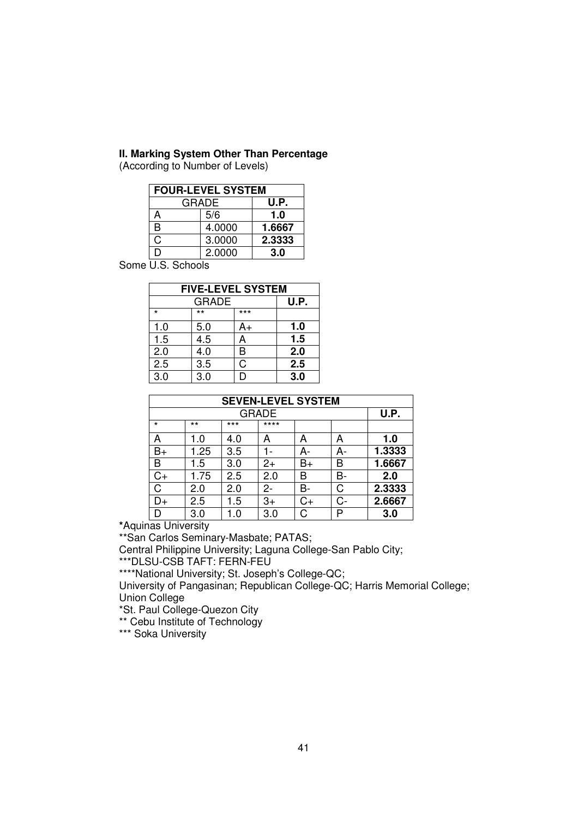#### **II. Marking System Other Than Percentage**

(According to Number of Levels)

| <b>FOUR-LEVEL SYSTEM</b> |                      |        |  |  |  |  |  |
|--------------------------|----------------------|--------|--|--|--|--|--|
|                          | <b>GRADE</b><br>U.P. |        |  |  |  |  |  |
| А                        | 5/6                  | 1.0    |  |  |  |  |  |
| R                        | 1.6667               |        |  |  |  |  |  |
| C,                       | 3.0000               | 2.3333 |  |  |  |  |  |
| 2.0000<br>3.0            |                      |        |  |  |  |  |  |

Some U.S. Schools

| <b>FIVE-LEVEL SYSTEM</b> |              |       |      |  |  |
|--------------------------|--------------|-------|------|--|--|
|                          | <b>GRADE</b> |       | U.P. |  |  |
| $\star$                  | $***$        | $***$ |      |  |  |
| 1.0                      | 5.0          | A+    | 1.0  |  |  |
| 1.5                      | 4.5          | A     | 1.5  |  |  |
| 2.0                      | 4.0          | В     | 2.0  |  |  |
| 2.5                      | 3.5          | C     | 2.5  |  |  |
| 3.0                      | 3.0          |       | 3.0  |  |  |

| <b>SEVEN-LEVEL SYSTEM</b> |       |       |              |    |    |        |  |
|---------------------------|-------|-------|--------------|----|----|--------|--|
|                           |       |       | <b>GRADE</b> |    |    | U.P.   |  |
| $\star$                   | $***$ | $***$ | $***$ *      |    |    |        |  |
| А                         | 1.0   | 4.0   | А            | А  | А  | 1.0    |  |
| B+                        | 1.25  | 3.5   |              | A- | А- | 1.3333 |  |
| B                         | 1.5   | 3.0   | $2+$         | B+ | В  | 1.6667 |  |
| C+                        | 1.75  | 2.5   | 2.0          | В  | В- | 2.0    |  |
| C                         | 2.0   | 2.0   | 2-           | в- | С  | 2.3333 |  |
| D+                        | 2.5   | 1.5   | $3+$         | C+ | C- | 2.6667 |  |
|                           | 3.0   | - 0   | 3.0          |    | D  | 3.0    |  |

**\***Aquinas University

\*\*San Carlos Seminary-Masbate; PATAS;

Central Philippine University; Laguna College-San Pablo City;

\*\*\*DLSU-CSB TAFT: FERN-FEU

\*\*\*\*National University; St. Joseph's College-QC;

University of Pangasinan; Republican College-QC; Harris Memorial College; Union College

\*St. Paul College-Quezon City

\*\* Cebu Institute of Technology

\*\*\* Soka University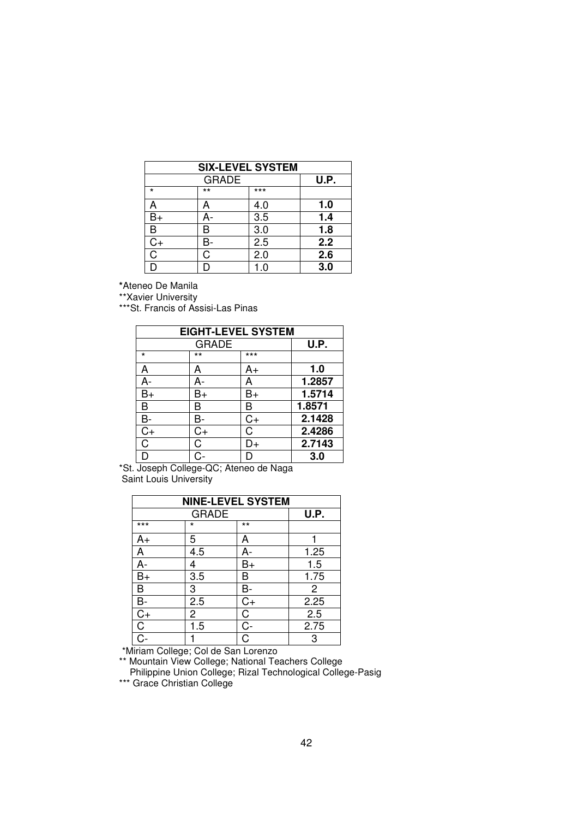| <b>SIX-LEVEL SYSTEM</b> |              |                  |      |  |  |
|-------------------------|--------------|------------------|------|--|--|
|                         | <b>GRADE</b> |                  | U.P. |  |  |
| $\star$                 | $***$        | ***              |      |  |  |
| A                       |              | 4.0              | 1.0  |  |  |
| $B+$                    |              | 3.5              | 1.4  |  |  |
| B                       | R            | 3.0              | 1.8  |  |  |
| C+                      |              | $\overline{2.5}$ | 2.2  |  |  |
| Ć                       |              | 2.0              | 2.6  |  |  |
|                         |              | $\Omega$         | 3.0  |  |  |

**\***Ateneo De Manila

\*\*Xavier University

\*\*\*St. Francis of Assisi-Las Pinas

| <b>EIGHT-LEVEL SYSTEM</b> |              |       |        |  |  |
|---------------------------|--------------|-------|--------|--|--|
|                           | <b>GRADE</b> |       | U.P.   |  |  |
| ÷                         | $***$        | $***$ |        |  |  |
| A                         | А            | A+    | 1.0    |  |  |
| A-                        | А-           | А     | 1.2857 |  |  |
| $B+$                      | B+           | B+    | 1.5714 |  |  |
| B                         | B            | B     | 1.8571 |  |  |
| B-                        | в-           | $C+$  | 2.1428 |  |  |
| $C+$                      | C+           | С     | 2.4286 |  |  |
| C                         | С            | D+    | 2.7143 |  |  |
| D                         |              |       | 3.0    |  |  |

\*St. Joseph College-QC; Ateneo de Naga Saint Louis University

| <b>NINE-LEVEL SYSTEM</b> |                |       |                |  |  |
|--------------------------|----------------|-------|----------------|--|--|
|                          | <b>GRADE</b>   |       | U.P.           |  |  |
| $***$                    | $\star$        | $***$ |                |  |  |
| A+                       | 5              | А     |                |  |  |
| A                        | 4.5            | А-    | 1.25           |  |  |
| A-                       | 4              | B+    | 1.5            |  |  |
| $B+$                     | 3.5            | в     | 1.75           |  |  |
| B                        | 3              | в-    | $\overline{2}$ |  |  |
| B-                       | 2.5            | $C+$  | 2.25           |  |  |
| $C+$                     | $\overline{c}$ | C     | 2.5            |  |  |
| C                        | 1.5            | C-    | 2.75           |  |  |
| $\dot{C}$                |                | C     | 3              |  |  |

\*Miriam College; Col de San Lorenzo

\*\* Mountain View College; National Teachers College Philippine Union College; Rizal Technological College-Pasig

\*\*\* Grace Christian College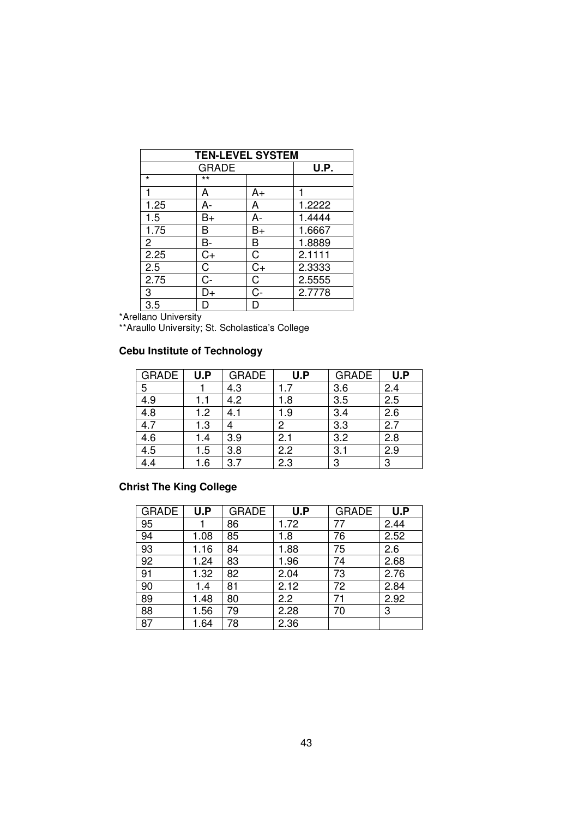|                | <b>TEN-LEVEL SYSTEM</b> |      |        |  |  |  |  |
|----------------|-------------------------|------|--------|--|--|--|--|
|                | <b>GRADE</b>            |      | U.P.   |  |  |  |  |
| $\star$        | $***$                   |      |        |  |  |  |  |
|                | Α                       | A+   |        |  |  |  |  |
| 1.25           | A-                      | A    | 1.2222 |  |  |  |  |
| 1.5            | B+                      | А-   | 1.4444 |  |  |  |  |
| 1.75           | В                       | B+   | 1.6667 |  |  |  |  |
| $\overline{2}$ | B-                      | B    | 1.8889 |  |  |  |  |
| 2.25           | $C+$                    | C    | 2.1111 |  |  |  |  |
| 2.5            | C                       | $C+$ | 2.3333 |  |  |  |  |
| 2.75           | $C -$                   | C    | 2.5555 |  |  |  |  |
| 3              | D+                      | C-   | 2.7778 |  |  |  |  |
| 3.5            | D                       |      |        |  |  |  |  |

\*Arellano University

\*\*Araullo University; St. Scholastica's College

### **Cebu Institute of Technology**

| <b>GRADE</b> | U.P | <b>GRADE</b> | U.P | <b>GRADE</b> | U.P |
|--------------|-----|--------------|-----|--------------|-----|
| 5            |     | 4.3          | 1.7 | 3.6          | 2.4 |
| 4.9          | 1.1 | 4.2          | 1.8 | 3.5          | 2.5 |
| 4.8          | 1.2 | 4.1          | 1.9 | 3.4          | 2.6 |
| 4.7          | 1.3 |              | 2   | 3.3          | 2.7 |
| 4.6          | 1.4 | 3.9          | 2.1 | 3.2          | 2.8 |
| 4.5          | 1.5 | 3.8          | 2.2 | 3.1          | 2.9 |
|              | 1.6 | 3.7          | 2.3 | 3            | 3   |

## **Christ The King College**

| <b>GRADE</b> | U.P  | <b>GRADE</b> | U.P  | <b>GRADE</b> | U.P  |
|--------------|------|--------------|------|--------------|------|
| 95           |      | 86           | 1.72 | 77           | 2.44 |
| 94           | 1.08 | 85           | 1.8  | 76           | 2.52 |
| 93           | 1.16 | 84           | 1.88 | 75           | 2.6  |
| 92           | 1.24 | 83           | 1.96 | 74           | 2.68 |
| 91           | 1.32 | 82           | 2.04 | 73           | 2.76 |
| 90           | 1.4  | 81           | 2.12 | 72           | 2.84 |
| 89           | 1.48 | 80           | 2.2  |              | 2.92 |
| 88           | 1.56 | 79           | 2.28 | 70           | 3    |
| 87           | 1.64 | 78           | 2.36 |              |      |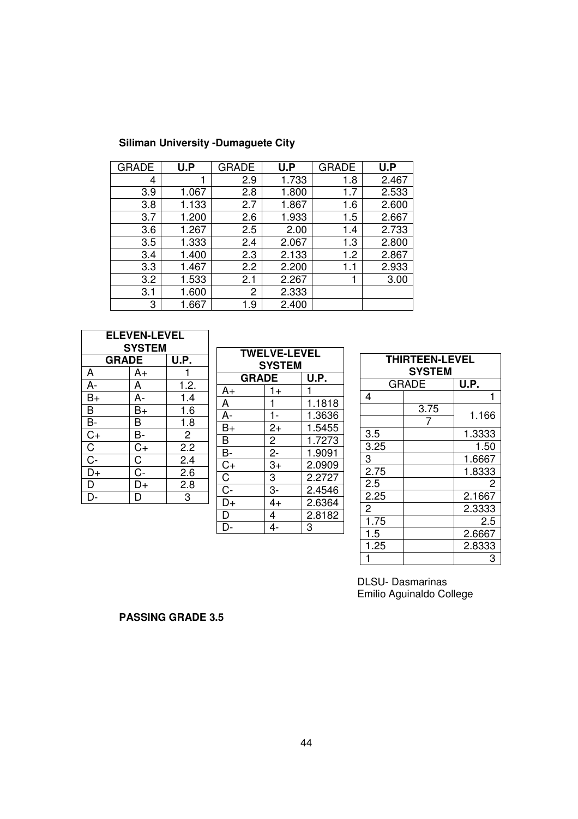| <b>GRADE</b> | U.P   | <b>GRADE</b> | U.P   | <b>GRADE</b> | U.P   |
|--------------|-------|--------------|-------|--------------|-------|
| 4            |       | 2.9          | 1.733 | 1.8          | 2.467 |
| 3.9          | 1.067 | 2.8          | 1.800 | 1.7          | 2.533 |
| 3.8          | 1.133 | 2.7          | 1.867 | 1.6          | 2.600 |
| 3.7          | 1.200 | 2.6          | 1.933 | 1.5          | 2.667 |
| 3.6          | 1.267 | 2.5          | 2.00  | 1.4          | 2.733 |
| 3.5          | 1.333 | 2.4          | 2.067 | 1.3          | 2.800 |
| 3.4          | 1.400 | 2.3          | 2.133 | 1.2          | 2.867 |
| 3.3          | 1.467 | 2.2          | 2.200 | 1.1          | 2.933 |
| 3.2          | 1.533 | 2.1          | 2.267 | 1            | 3.00  |
| 3.1          | 1.600 | 2            | 2.333 |              |       |
| 3            | 1.667 | 1.9          | 2.400 |              |       |

| <b>ELEVEN-LEVEL</b><br><b>SYSTEM</b> |                       |                  |  |  |
|--------------------------------------|-----------------------|------------------|--|--|
| <b>GRADE</b><br>U.P.                 |                       |                  |  |  |
| A                                    | A+                    |                  |  |  |
| A-                                   | A                     | 1.2.             |  |  |
| $\overline{B}$ +                     | A-                    | 1.4              |  |  |
| $\bar{\mathsf{B}}$                   | $B+$                  | 1.6              |  |  |
| B-                                   | B                     | 1.8              |  |  |
| $rac{C}{C}$                          | В-                    | $\overline{2}$   |  |  |
|                                      | $\overline{C+}$       | $\overline{2.2}$ |  |  |
| $\overline{C}$                       | $\overline{\text{C}}$ | 2.4              |  |  |
| D+                                   | $C -$                 | 2.6              |  |  |
| D                                    | D+                    | 2.8              |  |  |
|                                      | D                     | 3                |  |  |

| <b>TWELVE-LEVEL</b><br><b>SYSTEM</b> |                      |        |  |
|--------------------------------------|----------------------|--------|--|
|                                      | <b>GRADE</b><br>U.P. |        |  |
| A+                                   | $1+$                 |        |  |
| A                                    |                      | 1.1818 |  |
| A                                    | $1 -$                | 1.3636 |  |
| $B+$                                 | $2+$                 | 1.5455 |  |
| $\overline{\mathsf{B}}$              | $\overline{2}$       | 1.7273 |  |
| $\bar{\mathsf{B}}$                   | $2-$                 | 1.9091 |  |
| $\overline{C+}$                      | $\overline{3+}$      | 2.0909 |  |
| $\overline{\mathrm{C}}$              | 3                    | 2.2727 |  |
| $\overline{C}$ -                     | $3-$                 | 2.4546 |  |
| D+                                   | $4+$                 | 2.6364 |  |
| D                                    | 4                    | 2.8182 |  |
|                                      | 4-                   | 3      |  |

| <b>THIRTEEN-LEVEL</b><br><b>SYSTEM</b> |       |        |  |
|----------------------------------------|-------|--------|--|
|                                        | GRADE | U.P.   |  |
| 4                                      |       |        |  |
|                                        | 3.75  |        |  |
|                                        | 7     | 1.166  |  |
| 3.5                                    |       | 1.3333 |  |
| 3.25                                   |       | 1.50   |  |
| 3                                      |       | 1.6667 |  |
| 2.75                                   |       | 1.8333 |  |
| 2.5                                    |       | 2      |  |
| 2.25                                   |       | 2.1667 |  |
| $\overline{2}$                         |       | 2.3333 |  |
| 1.75                                   |       | 2.5    |  |
| 1.5                                    |       | 2.6667 |  |
| 1.25                                   |       | 2.8333 |  |
|                                        |       | З      |  |

DLSU- Dasmarinas Emilio Aguinaldo College

**PASSING GRADE 3.5**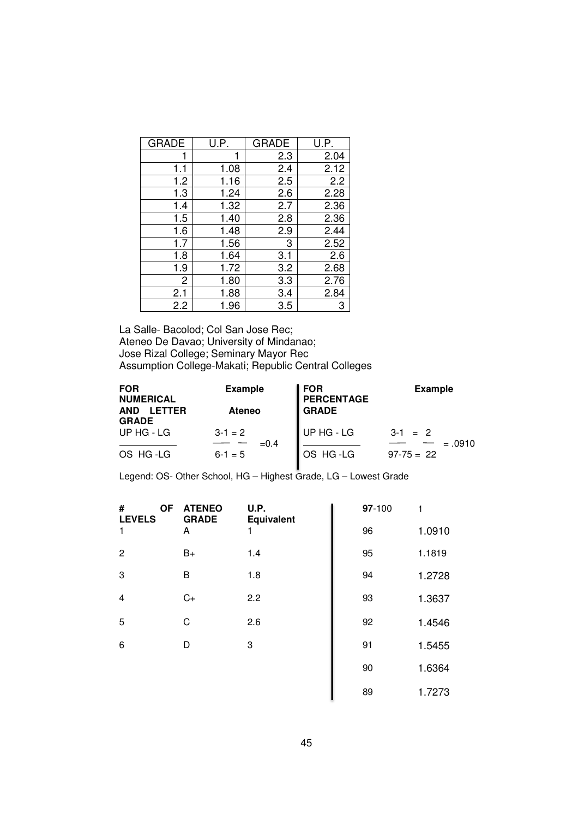| <b>GRADE</b> | U.P. | <b>GRADE</b> | U.P. |
|--------------|------|--------------|------|
|              |      | 2.3          | 2.04 |
| 1.1          | 1.08 | 2.4          | 2.12 |
| 1.2          | 1.16 | 2.5          | 2.2  |
| 1.3          | 1.24 | 2.6          | 2.28 |
| 1.4          | 1.32 | 2.7          | 2.36 |
| 1.5          | 1.40 | 2.8          | 2.36 |
| 1.6          | 1.48 | 2.9          | 2.44 |
| 1.7          | 1.56 | 3            | 2.52 |
| 1.8          | 1.64 | 3.1          | 2.6  |
| 1.9          | 1.72 | 3.2          | 2.68 |
| 2            | 1.80 | 3.3          | 2.76 |
| 2.1          | 1.88 | 3.4          | 2.84 |
| 2.2          | 1.96 | 3.5          | 3    |

La Salle- Bacolod; Col San Jose Rec; Ateneo De Davao; University of Mindanao; Jose Rizal College; Seminary Mayor Rec Assumption College-Makati; Republic Central Colleges

| <b>FOR</b><br><b>NUMERICAL</b>              | <b>Example</b>    | FOR<br><b>PERCENTAGE</b> | <b>Example</b>        |
|---------------------------------------------|-------------------|--------------------------|-----------------------|
| <b>AND</b><br><b>LETTER</b><br><b>GRADE</b> | <b>Ateneo</b>     | l GRADE                  |                       |
| UP HG - LG                                  | $3-1=2$<br>$=0.4$ | UP HG - LG               | $3-1 = 2$<br>$=.0910$ |
| OS HG-LG                                    | $6 - 1 = 5$       | OS HG-LG                 | $97-75 = 22$          |

Legend: OS- Other School, HG – Highest Grade, LG – Lowest Grade

| <b>OF</b><br>#<br><b>LEVELS</b> | <b>ATENEO</b><br><b>GRADE</b> | U.P.<br>Equivalent | 97-100 | 1      |
|---------------------------------|-------------------------------|--------------------|--------|--------|
| 1                               | A                             | 1                  | 96     | 1.0910 |
| $\overline{2}$                  | $B+$                          | 1.4                | 95     | 1.1819 |
| 3                               | B                             | 1.8                | 94     | 1.2728 |
| $\overline{\mathbf{4}}$         | $C+$                          | 2.2                | 93     | 1.3637 |
| 5                               | C                             | 2.6                | 92     | 1.4546 |
| 6                               | D                             | 3                  | 91     | 1.5455 |
|                                 |                               |                    | 90     | 1.6364 |
|                                 |                               |                    | 89     | 1.7273 |